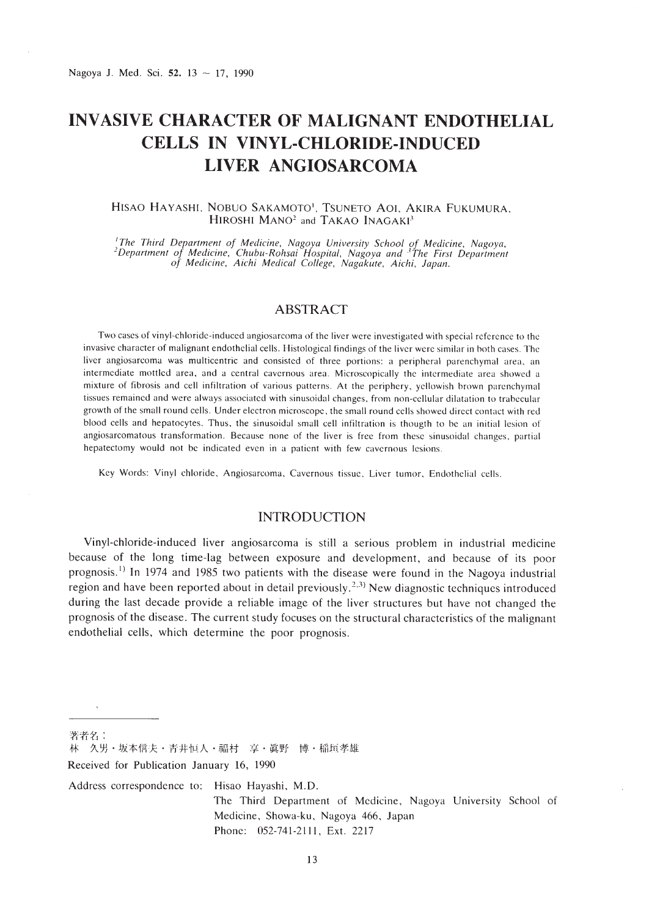# **INVASIVE CHARACTER OF MALIGNANT ENDOTHELIAL CELLS IN VINYL-CHLORIDE-INDUCED LIVER ANGIOSARCOMA**

#### HISAO HAYASHI. NOBUO SAKAMOTO'. TSUNETO AOI. AKIRA FUKUMURA. HIROSHI MANO<sup>2</sup> and TAKAO INAGAKI<sup>3</sup>

<sup>1</sup>The Third Department of Medicine, Nagoya University School of Medicine, Nagoya,<br><sup>2</sup>Department of Medicine, Chubu-Rohsai Hospital, Nagoya and <sup>3</sup>The First Department *of Medicine. Aichi Medical College, Nagukute, Aichi, Japan.*

## ABSTRACT

Two cases of vinyl-chloride-induced angiosarcoma of the liver were investigated with special reference to the invasive character of malignant endothelial cells. Histological findings of the liver werc similar in hoth cases. The liver angiosarcoma was multicentric and consisted of three portions: a peripheral parenchymal area. an intermediate mottled area, and a central cavernous area. Microscopically the intermediate area showed a mixture of fibrosis and cell infiltration of various patterns. At the periphery, yellowish brown parenchymal tissues remained and were always associated with sinusoidal changes. from non-cellular dilatation to trahecular growth of the small round cells. Under electron microscope. the small round cells showed direct contact with red blood cells and hepatocytes. Thus. the sinusoidal small cell infiltration is thougth to he an initial lesion of angiosarcomatous transformation. Because none of the liver is free from these sinusoidal changes. partial hepatectomy would not be indicated even in a patient with few cavernous lesions.

Key Words: Vinyl chloride. Angiosarcoma. Cavernous tissue. Liver tumor. Endothelial cells.

# INTRODUCTION

Vinyl-chloride-induced liver angiosarcoma is still a serious problem in industrial medicine because of the long time-lag between exposure and development, and because of its poor prognosis. I) **In** 1974 and 1985 two patients with the disease were found in the Nagoya industrial region and have been reported about in detail previously.<sup>2.3</sup>) New diagnostic techniques introduced during the last decade provide a reliable image of the liver structures but have not changed the prognosis of the disease. The current study focuses on the structural characteristics of the malignant endothelial cells, which determine the poor prognosis,

著者名:

Received for Publication January 16, 1990

Address correspondence to: Hisao Hayashi. M.D. The Third Department of Medicine, Nagoya University School of Medicine, Showa-ku, Nagoya 466. Japan Phone: 052-741-2111, Ext. 2217

林 久男・坂本信夫・青井恒人・福村 享・眞野 博・稲垣孝雄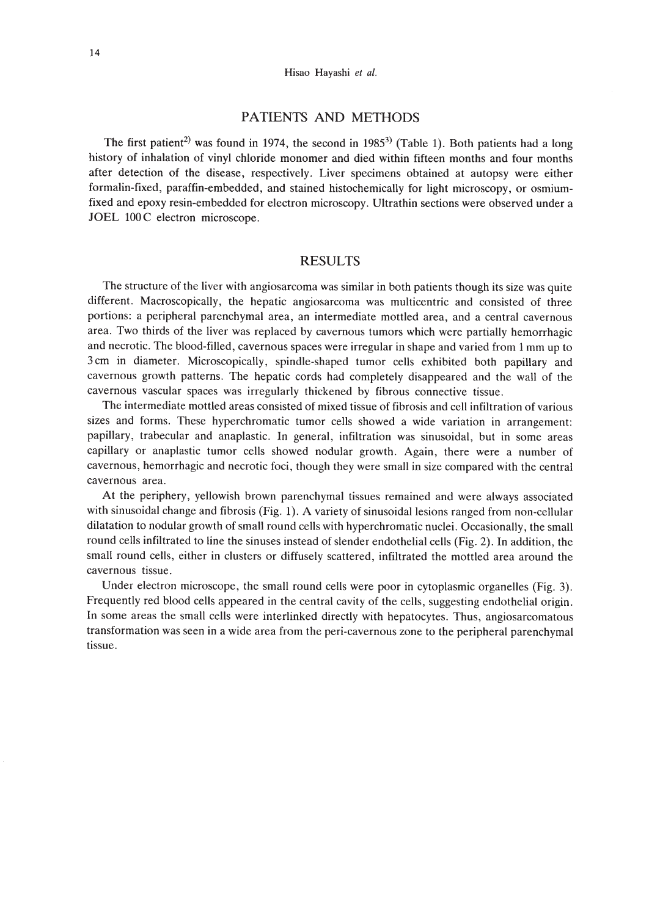## PATIENTS AND METHODS

The first patient<sup>2)</sup> was found in 1974, the second in 1985<sup>3</sup> (Table 1). Both patients had a long history of inhalation of vinyl chloride monomer and died within fifteen months and four months after detection of the disease, respectively. Liver specimens obtained at autopsy were either formalin-fixed, paraffin-embedded, and stained histochemically for light microscopy, or osmiumfixed and epoxy resin-embedded for electron microscopy. Ultrathin sections were observed under a JOEL 100 C electron microscope.

#### RESULTS

The structure of the liver with angiosarcoma was similar in both patients though its size was quite different. Macroscopically, the hepatic angiosarcoma was multicentric and consisted of three portions: a peripheral parenchymal area, an intermediate mottled area, and a central cavernous area. Two thirds of the liver was replaced by cavernous tumors which were partially hemorrhagic and necrotic. The blood-filled, cavernous spaces were irregular in shape and varied from 1mm up to 3 em in diameter. Microscopically, spindle-shaped tumor cells exhibited both papillary and cavernous growth patterns. The hepatic cords had completely disappeared and the wall of the cavernous vascular spaces was irregularly thickened by fibrous connective tissue.

The intermediate mottled areas consisted of mixed tissue of fibrosis and cell infiltration of various sizes and forms. These hyperchromatic tumor cells showed a wide variation in arrangement: papillary, trabecular and anaplastic. In general, infiltration was sinusoidal, but in some areas capillary or anaplastic tumor cells showed nodular growth. Again, there were a number of cavernous, hemorrhagic and necrotic foci, though they were small in size compared with the central cavernous area.

At the periphery, yellowish brown parenchymal tissues remained and were always associated with sinusoidal change and fibrosis (Fig. 1). A variety of sinusoidal lesions ranged from non-cellular dilatation to nodular growth of small round cells with hyperchromatic nuclei. Occasionally, the small round cells infiltrated to line the sinuses instead of slender endothelial cells (Fig. 2). In addition, the small round cells, either in clusters or diffusely scattered, infiltrated the mottled area around the cavernous tissue.

Under electron microscope, the small round cells were poor in cytoplasmic organelles (Fig. 3). Frequently red blood cells appeared in the central cavity of the cells, suggesting endothelial origin. In some areas the small cells were interlinked directly with hepatocytes. Thus, angiosarcomatous transformation was seen in a wide area from the peri-cavernous zone to the peripheral parenchymal tissue.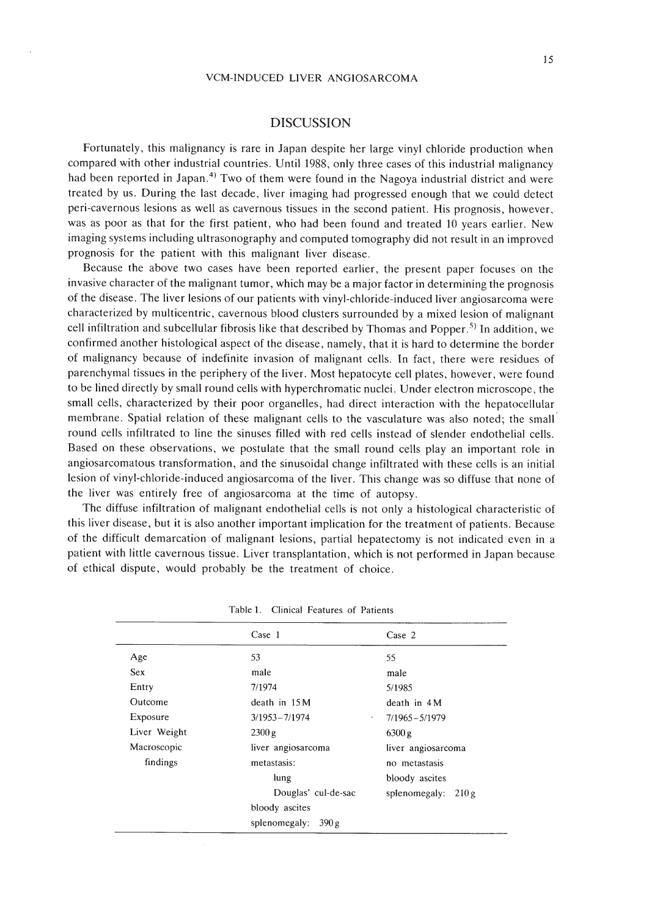#### VCM-INDUCED LIVER ANGIOSARCOMA

## DISCUSSION

Fortunately, this malignancy is rare in Japan despite her large vinyl chloride production when compared with other industrial countries. Until 1988, only three cases of this industrial malignancy had been reported in Japan.<sup>4)</sup> Two of them were found in the Nagoya industrial district and were treated by us. During the last decade, liver imaging had progressed enough that we could detect peri-cavernous lesions as well as cavernous tissues in the second patient. His prognosis, however, was as poor as that for the first patient, who had been found and treated 10 years earlier. New imaging systems including ultrasonography and computed tomography did not result in an improved prognosis for the patient with this malignant liver disease.

Because the above two cases have been reported earlier, the present paper focuses on the invasive character of the malignant tumor, which may be a major factor in determining the prognosis of the disease. The liver lesions of our patients with vinyl-chloride-induced liver angiosarcoma were characterized by multicentric, cavernous blood clusters surrounded by a mixed lesion of malignant cell infiltration and subcellular fibrosis like that described by Thomas and Popper.<sup>5)</sup> In addition, we confirmed another histological aspect of the disease, namely, that it is hard to determine the border of malignancy because of indefinite invasion of malignant cells. In fact, there were residues of parenchymal tissues in the periphery of the liver. Most hepatocyte cell plates, however, were found to be lined directly by small round cells with hyperchromatic nuclei. Under electron microscope, the small cells, characterized by their poor organelles, had direct interaction with the hepatocellular membrane. Spatial relation of these malignant cells to the vasculature was also noted; the small' round cells infiltrated to line the sinuses filled with red cells instead of slender endothelial cells. Based on these observations, we postulate that the small round cells play an important role in angiosarcomatous transformation, and the sinusoidal change infiltrated with these cells is an initial lesion of vinyl-chloride-induced angiosarcoma of the liver. This change was so diffuse that none of the liver was entirely free of angiosarcoma at the time of autopsy.

The diffuse infiltration of malignant endothelial cells is not only a histological characteristic of this liver disease, but it is also another important implication for the treatment of patients. Because of the difficult demarcation of malignant lesions, partial hepatectomy is not indicated evcn in a patient with little cavernous tissue. Liver transplantation, which is not performed in Japan because of ethical dispute, would probably be the treatment of choice.

|              | Case 1                | Case 2                          |
|--------------|-----------------------|---------------------------------|
| Age          | 53                    | 55                              |
| <b>Sex</b>   | male                  | male                            |
| Entry        | 7/1974                | 5/1985                          |
| Outcome      | death in $15M$        | death in 4M                     |
| Exposure     | $3/1953 - 7/1974$     | $7/1965 - 5/1979$<br>$\epsilon$ |
| Liver Weight | 2300g                 | 6300 g                          |
| Macroscopic  | liver angiosarcoma    | liver angiosarcoma              |
| findings     | metastasis:           | no metastasis                   |
|              | lung                  | bloody ascites                  |
|              | Douglas' cul-de-sac   | splenomegaly: $210 g$           |
|              | bloody ascites        |                                 |
|              | splenomegaly:<br>390g |                                 |

Table 1. Clinical Features of Patients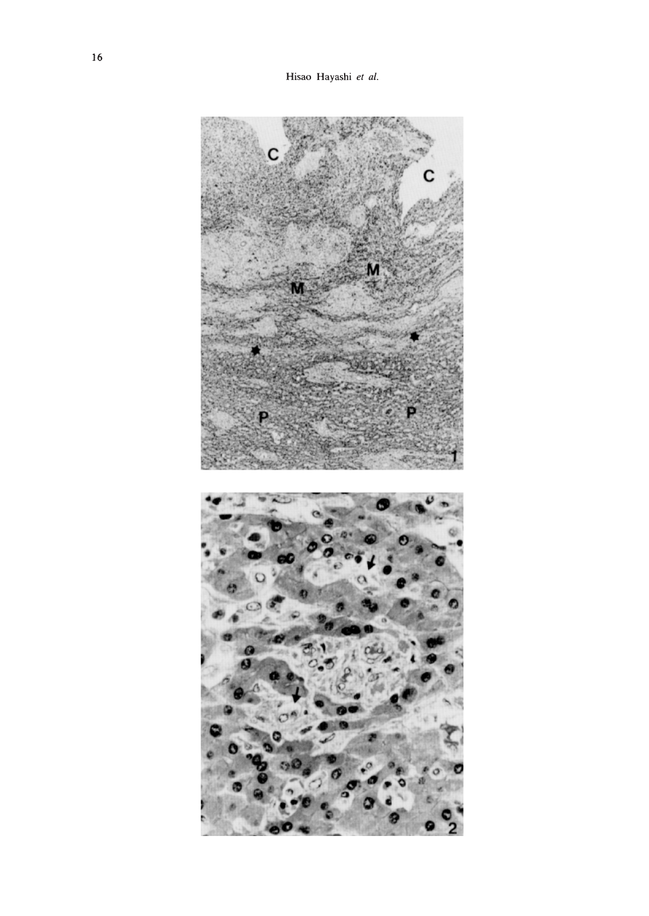